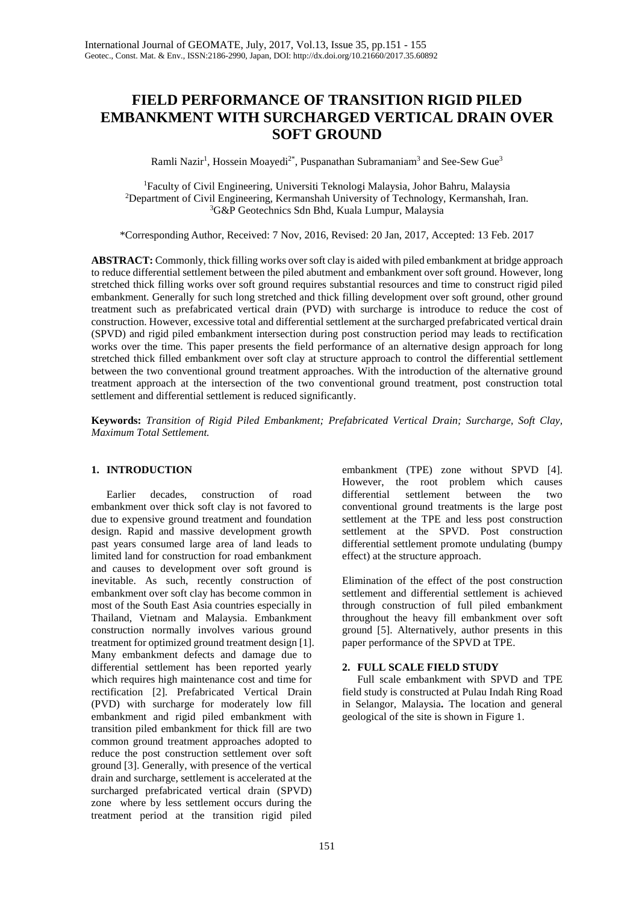# **FIELD PERFORMANCE OF TRANSITION RIGID PILED EMBANKMENT WITH SURCHARGED VERTICAL DRAIN OVER SOFT GROUND**

Ramli Nazir<sup>1</sup>, Hossein Moayedi<sup>2\*</sup>, Puspanathan Subramaniam<sup>3</sup> and See-Sew Gue<sup>3</sup>

1 Faculty of Civil Engineering, Universiti Teknologi Malaysia, Johor Bahru, Malaysia 2 Department of Civil Engineering, Kermanshah University of Technology, Kermanshah, Iran. 3 G&P Geotechnics Sdn Bhd, Kuala Lumpur, Malaysia

\*Corresponding Author, Received: 7 Nov, 2016, Revised: 20 Jan, 2017, Accepted: 13 Feb. 2017

**ABSTRACT:** Commonly, thick filling works over soft clay is aided with piled embankment at bridge approach to reduce differential settlement between the piled abutment and embankment over soft ground. However, long stretched thick filling works over soft ground requires substantial resources and time to construct rigid piled embankment. Generally for such long stretched and thick filling development over soft ground, other ground treatment such as prefabricated vertical drain (PVD) with surcharge is introduce to reduce the cost of construction. However, excessive total and differential settlement at the surcharged prefabricated vertical drain (SPVD) and rigid piled embankment intersection during post construction period may leads to rectification works over the time. This paper presents the field performance of an alternative design approach for long stretched thick filled embankment over soft clay at structure approach to control the differential settlement between the two conventional ground treatment approaches. With the introduction of the alternative ground treatment approach at the intersection of the two conventional ground treatment, post construction total settlement and differential settlement is reduced significantly.

**Keywords:** *Transition of Rigid Piled Embankment; Prefabricated Vertical Drain; Surcharge, Soft Clay, Maximum Total Settlement.*

# **1. INTRODUCTION**

Earlier decades, construction of road embankment over thick soft clay is not favored to due to expensive ground treatment and foundation design. Rapid and massive development growth past years consumed large area of land leads to limited land for construction for road embankment and causes to development over soft ground is inevitable. As such, recently construction of embankment over soft clay has become common in most of the South East Asia countries especially in Thailand, Vietnam and Malaysia. Embankment construction normally involves various ground treatment for optimized ground treatment design [1]. Many embankment defects and damage due to differential settlement has been reported yearly which requires high maintenance cost and time for rectification [\[2\]](#page-4-0). Prefabricated Vertical Drain (PVD) with surcharge for moderately low fill embankment and rigid piled embankment with transition piled embankment for thick fill are two common ground treatment approaches adopted to reduce the post construction settlement over soft ground [\[3\]](#page-4-1). Generally, with presence of the vertical drain and surcharge, settlement is accelerated at the surcharged prefabricated vertical drain (SPVD) zone where by less settlement occurs during the treatment period at the transition rigid piled

embankment (TPE) zone without SPVD [\[4\]](#page-4-2). However, the root problem which causes differential settlement between the two conventional ground treatments is the large post settlement at the TPE and less post construction settlement at the SPVD. Post construction differential settlement promote undulating (bumpy effect) at the structure approach.

Elimination of the effect of the post construction settlement and differential settlement is achieved through construction of full piled embankment throughout the heavy fill embankment over soft ground [\[5\]](#page-4-3). Alternatively, author presents in this paper performance of the SPVD at TPE.

## **2. FULL SCALE FIELD STUDY**

Full scale embankment with SPVD and TPE field study is constructed at Pulau Indah Ring Road in Selangor, Malaysia**.** The location and general geological of the site is shown in Figure 1.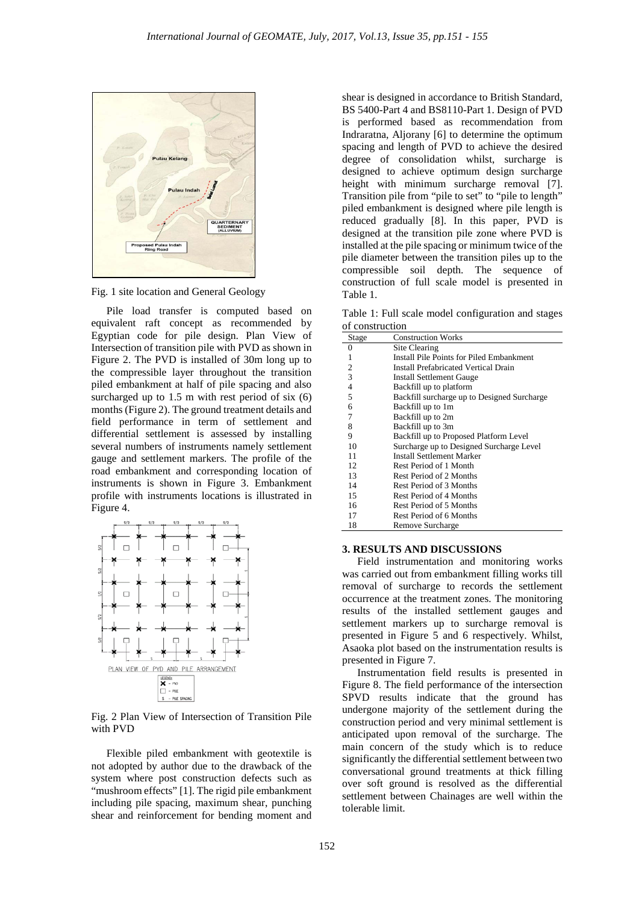

Fig. 1 site location and General Geology

Pile load transfer is computed based on equivalent raft concept as recommended by Egyptian code for pile design. Plan View of Intersection of transition pile with PVD as shown in Figure 2. The PVD is installed of 30m long up to the compressible layer throughout the transition piled embankment at half of pile spacing and also surcharged up to 1.5 m with rest period of six  $(6)$ months (Figure 2). The ground treatment details and field performance in term of settlement and differential settlement is assessed by installing several numbers of instruments namely settlement gauge and settlement markers. The profile of the road embankment and corresponding location of instruments is shown in Figure 3. Embankment profile with instruments locations is illustrated in Figure 4.



Fig. 2 Plan View of Intersection of Transition Pile with PVD

Flexible piled embankment with geotextile is not adopted by author due to the drawback of the system where post construction defects such as "mushroom effects" [1]. The rigid pile embankment including pile spacing, maximum shear, punching shear and reinforcement for bending moment and

shear is designed in accordance to British Standard, BS 5400-Part 4 and BS8110-Part 1. Design of PVD is performed based as recommendation from [Indraratna, Aljorany \[6\]](#page-4-4) to determine the optimum spacing and length of PVD to achieve the desired degree of consolidation whilst, surcharge is designed to achieve optimum design surcharge height with minimum surcharge removal [\[7\]](#page-4-5). Transition pile from "pile to set" to "pile to length" piled embankment is designed where pile length is reduced gradually [8]. In this paper, PVD is designed at the transition pile zone where PVD is installed at the pile spacing or minimum twice of the pile diameter between the transition piles up to the compressible soil depth. The sequence of construction of full scale model is presented in Table 1.

Table 1: Full scale model configuration and stages of construction

| Stage | <b>Construction Works</b>                   |
|-------|---------------------------------------------|
| 0     | Site Clearing                               |
| 1     | Install Pile Points for Piled Embankment    |
| 2     | <b>Install Prefabricated Vertical Drain</b> |
| 3     | <b>Install Settlement Gauge</b>             |
| 4     | Backfill up to platform                     |
| 5     | Backfill surcharge up to Designed Surcharge |
| 6     | Backfill up to 1m                           |
| 7     | Backfill up to 2m                           |
| 8     | Backfill up to 3m                           |
| 9     | Backfill up to Proposed Platform Level      |
| 10    | Surcharge up to Designed Surcharge Level    |
| 11    | Install Settlement Marker                   |
| 12    | Rest Period of 1 Month                      |
| 13    | Rest Period of 2 Months                     |
| 14    | Rest Period of 3 Months                     |
| 15    | Rest Period of 4 Months                     |
| 16    | Rest Period of 5 Months                     |
| 17    | Rest Period of 6 Months                     |
| 18    | Remove Surcharge                            |

#### **3. RESULTS AND DISCUSSIONS**

Field instrumentation and monitoring works was carried out from embankment filling works till removal of surcharge to records the settlement occurrence at the treatment zones. The monitoring results of the installed settlement gauges and settlement markers up to surcharge removal is presented in Figure 5 and 6 respectively. Whilst, Asaoka plot based on the instrumentation results is presented in Figure 7.

Instrumentation field results is presented in Figure 8. The field performance of the intersection SPVD results indicate that the ground has undergone majority of the settlement during the construction period and very minimal settlement is anticipated upon removal of the surcharge. The main concern of the study which is to reduce significantly the differential settlement between two conversational ground treatments at thick filling over soft ground is resolved as the differential settlement between Chainages are well within the tolerable limit.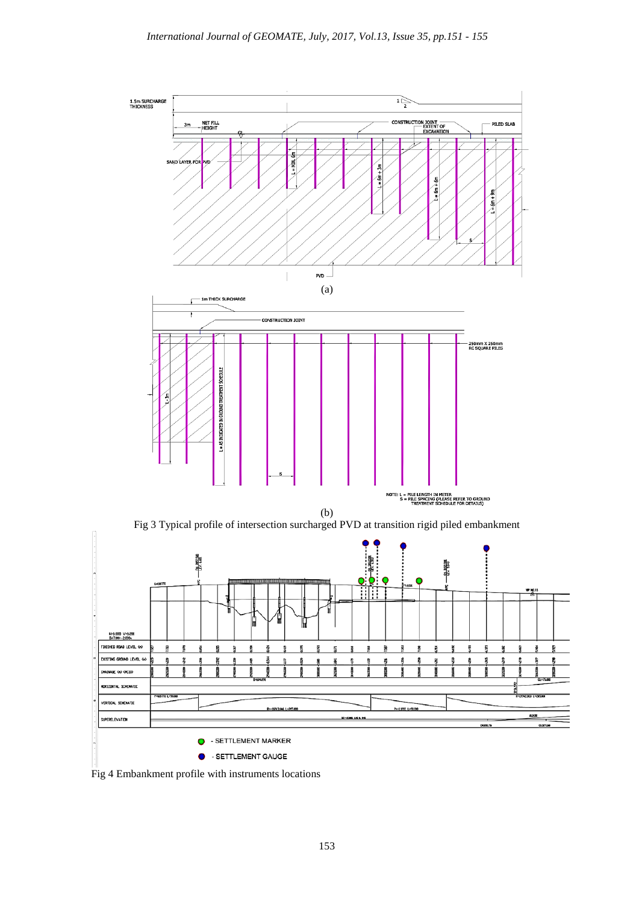

Fig 4 Embankment profile with instruments locations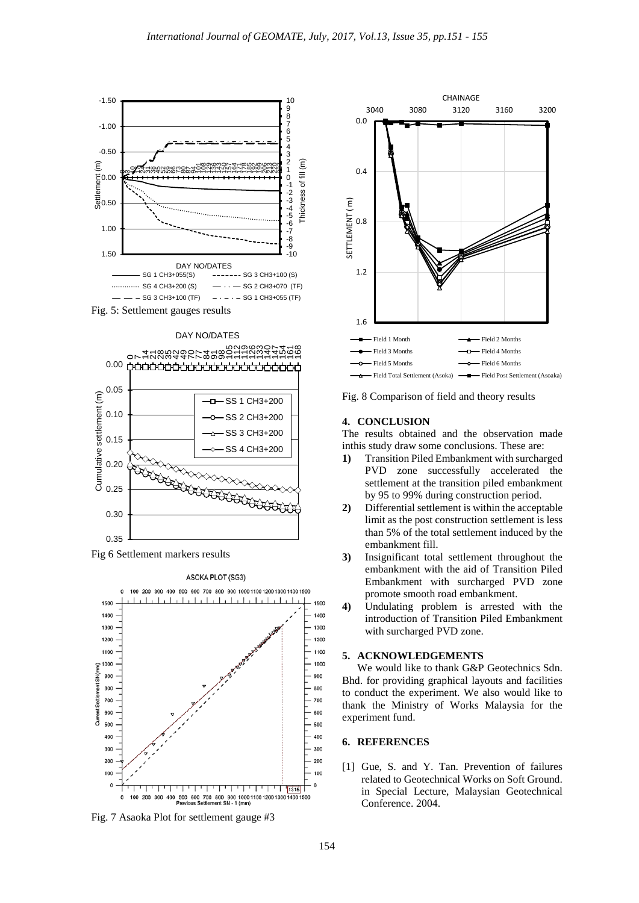





Fig 6 Settlement markers results



Fig. 7 Asaoka Plot for settlement gauge #3



Fig. 8 Comparison of field and theory results

## **4. CONCLUSION**

The results obtained and the observation made inthis study draw some conclusions. These are:

- **1)** Transition Piled Embankment with surcharged PVD zone successfully accelerated the settlement at the transition piled embankment by 95 to 99% during construction period.
- **2)** Differential settlement is within the acceptable limit as the post construction settlement is less than 5% of the total settlement induced by the embankment fill.
- **3)** Insignificant total settlement throughout the embankment with the aid of Transition Piled Embankment with surcharged PVD zone promote smooth road embankment.
- **4)** Undulating problem is arrested with the introduction of Transition Piled Embankment with surcharged PVD zone.

# **5. ACKNOWLEDGEMENTS**

We would like to thank G&P Geotechnics Sdn. Bhd. for providing graphical layouts and facilities to conduct the experiment. We also would like to thank the Ministry of Works Malaysia for the experiment fund.

## **6. REFERENCES**

[1] Gue, S. and Y. Tan. Prevention of failures related to Geotechnical Works on Soft Ground. in Special Lecture, Malaysian Geotechnical Conference. 2004.